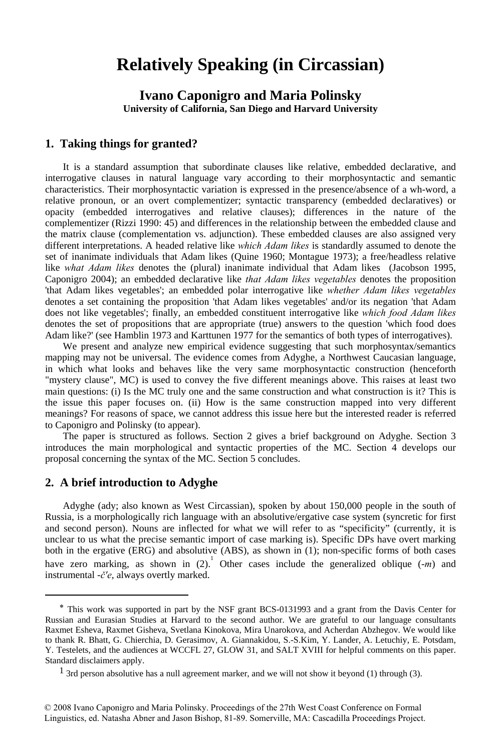# **Relatively Speaking (in Circassian)**

**Ivano Caponigro and Maria Polinsky University of California, San Diego and Harvard University**

#### **1. Taking things for granted?**

It is a standard assumption that subordinate clauses like relative, embedded declarative, and interrogative clauses in natural language vary according to their morphosyntactic and semantic characteristics. Their morphosyntactic variation is expressed in the presence/absence of a wh-word, a relative pronoun, or an overt complementizer; syntactic transparency (embedded declaratives) or opacity (embedded interrogatives and relative clauses); differences in the nature of the complementizer (Rizzi 1990: 45) and differences in the relationship between the embedded clause and the matrix clause (complementation vs. adjunction). These embedded clauses are also assigned very different interpretations. A headed relative like *which Adam likes* is standardly assumed to denote the set of inanimate individuals that Adam likes (Quine 1960; Montague 1973); a free/headless relative like *what Adam likes* denotes the (plural) inanimate individual that Adam likes (Jacobson 1995, Caponigro 2004); an embedded declarative like *that Adam likes vegetables* denotes the proposition 'that Adam likes vegetables'; an embedded polar interrogative like *whether Adam likes vegetables* denotes a set containing the proposition 'that Adam likes vegetables' and/or its negation 'that Adam does not like vegetables'; finally, an embedded constituent interrogative like *which food Adam likes* denotes the set of propositions that are appropriate (true) answers to the question 'which food does Adam like?' (see Hamblin 1973 and Karttunen 1977 for the semantics of both types of interrogatives).

We present and analyze new empirical evidence suggesting that such morphosyntax/semantics mapping may not be universal. The evidence comes from Adyghe, a Northwest Caucasian language, in which what looks and behaves like the very same morphosyntactic construction (henceforth "mystery clause", MC) is used to convey the five different meanings above. This raises at least two main questions: (i) Is the MC truly one and the same construction and what construction is it? This is the issue this paper focuses on. (ii) How is the same construction mapped into very different meanings? For reasons of space, we cannot address this issue here but the interested reader is referred to Caponigro and Polinsky (to appear).

The paper is structured as follows. Section 2 gives a brief background on Adyghe. Section 3 introduces the main morphological and syntactic properties of the MC. Section 4 develops our proposal concerning the syntax of the MC. Section 5 concludes.

#### **2. A brief introduction to Adyghe**

<u>.</u>

Adyghe (ady; also known as West Circassian), spoken by about 150,000 people in the south of Russia, is a morphologically rich language with an absolutive/ergative case system (syncretic for first and second person). Nouns are inflected for what we will refer to as "specificity" (currently, it is unclear to us what the precise semantic import of case marking is). Specific DPs have overt marking both in the ergative (ERG) and absolutive (ABS), as shown in (1); non-specific forms of both cases have zero marking, as shown in  $(2)$ . Other cases include the generalized oblique  $(-m)$  and instrumental -*č'e*, always overtly marked.

<sup>∗</sup> This work was supported in part by the NSF grant BCS-0131993 and a grant from the Davis Center for Russian and Eurasian Studies at Harvard to the second author. We are grateful to our language consultants Raxmet Esheva, Raxmet Gisheva, Svetlana Kinokova, Mira Unarokova, and Acherdan Abzhegov. We would like to thank R. Bhatt, G. Chierchia, D. Gerasimov, A. Giannakidou, S.-S.Kim, Y. Lander, A. Letuchiy, E. Potsdam, Y. Testelets, and the audiences at WCCFL 27, GLOW 31, and SALT XVIII for helpful comments on this paper. Standard disclaimers apply.

<sup>&</sup>lt;sup>1</sup> 3rd person absolutive has a null agreement marker, and we will not show it beyond (1) through (3).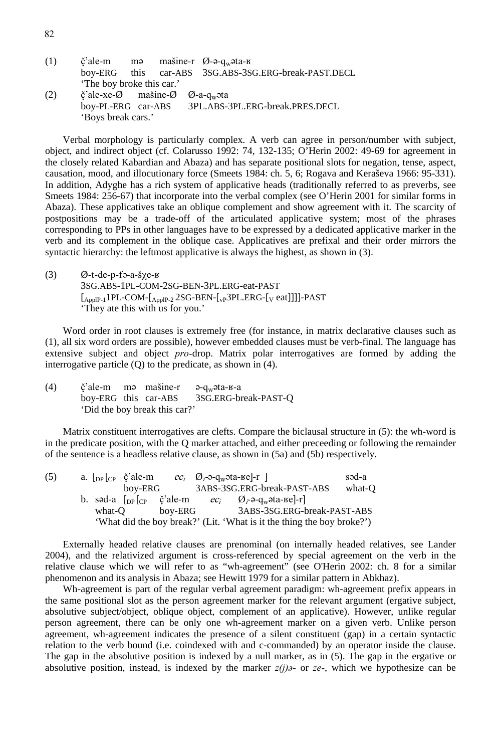| (1) |                                                                                        |  | $\check{c}$ 'ale-m magneticale mašine-r $\varnothing$ -a-q <sub>w</sub> ata-k |
|-----|----------------------------------------------------------------------------------------|--|-------------------------------------------------------------------------------|
|     |                                                                                        |  | boy-ERG this car-ABS 3SG.ABS-3SG.ERG-break-PAST.DECL                          |
|     | 'The boy broke this car.'                                                              |  |                                                                               |
| (2) | $\check{c}$ 'ale-xe- $\emptyset$ mašine- $\emptyset$ $\emptyset$ -a-q <sub>w</sub> ata |  |                                                                               |
|     | boy-PL-ERG car-ABS                                                                     |  | 3PL.ABS-3PL.ERG-break.PRES.DECL                                               |
|     | 'Boys break cars.'                                                                     |  |                                                                               |

Verbal morphology is particularly complex. A verb can agree in person/number with subject, object, and indirect object (cf. Colarusso 1992: 74, 132-135; O'Herin 2002: 49-69 for agreement in the closely related Kabardian and Abaza) and has separate positional slots for negation, tense, aspect, causation, mood, and illocutionary force (Smeets 1984: ch. 5, 6; Rogava and Keraševa 1966: 95-331). In addition, Adyghe has a rich system of applicative heads (traditionally referred to as preverbs, see Smeets 1984: 256-67) that incorporate into the verbal complex (see O'Herin 2001 for similar forms in Abaza). These applicatives take an oblique complement and show agreement with it. The scarcity of postpositions may be a trade-off of the articulated applicative system; most of the phrases corresponding to PPs in other languages have to be expressed by a dedicated applicative marker in the verb and its complement in the oblique case. Applicatives are prefixal and their order mirrors the syntactic hierarchy: the leftmost applicative is always the highest, as shown in (3).

 $(3)$  Ø-t-de-p-fa-a-š $\chi$ e- $\chi$  3SG.ABS-1PL-COM-2SG-BEN-3PL.ERG-eat-PAST  $\textcolor{gray}{\text{[_{ApplP-1}1PL-COM-[_{ApplP-2}2SG-BEN-[_{vP}3PL.ERG-[_{V} eat]]]]}\textbf{-PAST}}$ 'They ate this with us for you.'

Word order in root clauses is extremely free (for instance, in matrix declarative clauses such as (1), all six word orders are possible), however embedded clauses must be verb-final. The language has extensive subject and object *pro-*drop. Matrix polar interrogatives are formed by adding the interrogative particle (Q) to the predicate, as shown in (4).

(4)  $\check{c}$ 'ale-m mamasine-r a-qwata-k-a boy-ERG this car-ABS 3SG.ERG-break-PAST-Q 'Did the boy break this car?'

Matrix constituent interrogatives are clefts. Compare the biclausal structure in (5): the wh-word is in the predicate position, with the Q marker attached, and either preceeding or following the remainder of the sentence is a headless relative clause, as shown in (5a) and (5b) respectively.

| (5) |        |  | a. $\lceil_{DP}\rceil_{CP}$ č'ale-m |                                           | $ec_i$ $Q_i$ - $\partial_{\mathbf{w}}$ $\partial_{\mathbf{w}}$ $\partial_{\mathbf{w}}$ $\partial_{\mathbf{w}}$ $\partial_{\mathbf{w}}$ $\partial_{\mathbf{w}}$ |                                                                                    | səd-a  |
|-----|--------|--|-------------------------------------|-------------------------------------------|----------------------------------------------------------------------------------------------------------------------------------------------------------------|------------------------------------------------------------------------------------|--------|
|     |        |  | bov-ERG                             |                                           |                                                                                                                                                                | 3ABS-3SG.ERG-break-PAST-ABS                                                        | what-O |
|     |        |  |                                     | b. səd-a $\lceil_{DP}\rceil_{CP}$ č'ale-m |                                                                                                                                                                | $ec_i$ $Q_i$ - $\partial_{r}$ - $q_w$ $\partial_{r}$ $\partial_{r}$ $\partial_{r}$ |        |
|     | what-O |  | bov-ERG                             |                                           | 3ABS-3SG.ERG-break-PAST-ABS                                                                                                                                    |                                                                                    |        |
|     |        |  |                                     |                                           |                                                                                                                                                                | 'What did the boy break?' (Lit. 'What is it the thing the boy broke?')             |        |

Externally headed relative clauses are prenominal (on internally headed relatives, see Lander 2004), and the relativized argument is cross-referenced by special agreement on the verb in the relative clause which we will refer to as "wh-agreement" (see O'Herin 2002: ch. 8 for a similar phenomenon and its analysis in Abaza; see Hewitt 1979 for a similar pattern in Abkhaz).

Wh-agreement is part of the regular verbal agreement paradigm: wh-agreement prefix appears in the same positional slot as the person agreement marker for the relevant argument (ergative subject, absolutive subject/object, oblique object, complement of an applicative). However, unlike regular person agreement, there can be only one wh-agreement marker on a given verb. Unlike person agreement, wh-agreement indicates the presence of a silent constituent (gap) in a certain syntactic relation to the verb bound (i.e. coindexed with and c-commanded) by an operator inside the clause. The gap in the absolutive position is indexed by a null marker, as in (5). The gap in the ergative or absolutive position, instead, is indexed by the marker  $z(i)$  $\delta$ *-* or  $ze$ -, which we hypothesize can be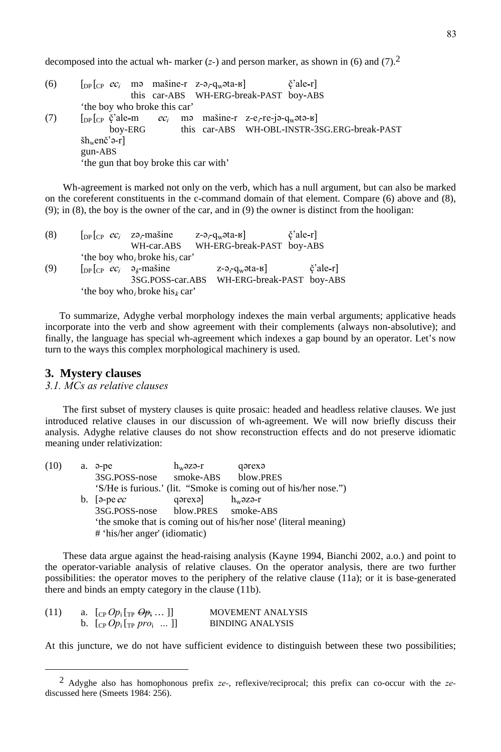decomposed into the actual wh- marker  $(z)$  and person marker, as shown in (6) and (7).<sup>2</sup>

| (6) | $\lceil \text{DP} \rceil_{\text{CP}}$ ec <sub>i</sub> m <sup>3</sup> mašine-r z- $\vartheta_i$ -q <sub>w</sub> ata- $\kappa$           |                                        |  |  | č'ale-r                                      |  |  |  |
|-----|----------------------------------------------------------------------------------------------------------------------------------------|----------------------------------------|--|--|----------------------------------------------|--|--|--|
|     |                                                                                                                                        | this car-ABS WH-ERG-break-PAST boy-ABS |  |  |                                              |  |  |  |
|     | the boy who broke this car'                                                                                                            |                                        |  |  |                                              |  |  |  |
| (7) | $\lceil_{\text{DP}} \rceil_{\text{CP}}$ č'ale-m <i>ec<sub>i</sub></i> mə mašine-r z-e <sub>i</sub> -re-jə-q <sub>w</sub> ətə- $\kappa$ |                                        |  |  |                                              |  |  |  |
|     | boy-ERG                                                                                                                                |                                        |  |  | this car-ABS WH-OBL-INSTR-3SG.ERG-break-PAST |  |  |  |
|     | $\sin w$ enč'ə-r                                                                                                                       |                                        |  |  |                                              |  |  |  |
|     | gun-ABS                                                                                                                                |                                        |  |  |                                              |  |  |  |
|     | 'the gun that boy broke this car with'                                                                                                 |                                        |  |  |                                              |  |  |  |

Wh-agreement is marked not only on the verb, which has a null argument, but can also be marked on the coreferent constituents in the c-command domain of that element. Compare (6) above and (8), (9); in (8), the boy is the owner of the car, and in (9) the owner is distinct from the hooligan:

| (8) | $\int_{\text{DP}} \int_{\text{CP}} e c_i$ zə <sub>r</sub> mašine                                                | $z$ - $\vartheta_r$ $q_w$ $\vartheta$ $ta$ - $\kappa$ ] | č'ale-r] |
|-----|-----------------------------------------------------------------------------------------------------------------|---------------------------------------------------------|----------|
|     | WH-car.ABS                                                                                                      | WH-ERG-break-PAST boy-ABS                               |          |
|     | 'the boy who, broke his, car'                                                                                   |                                                         |          |
| (9) | $\left[\begin{array}{cc} \n\text{DP} & c\text{C}_i \quad \vartheta_k\text{-}\text{mašine} \n\end{array}\right]$ | $z$ - $\vartheta_r$ $q_w$ $\vartheta$ ta- $\kappa$      | č'ale-r] |
|     | 3SG.POSS-car.ABS                                                                                                | WH-ERG-break-PAST boy-ABS                               |          |
|     | 'the boy who, broke his $_k$ car'                                                                               |                                                         |          |

 To summarize, Adyghe verbal morphology indexes the main verbal arguments; applicative heads incorporate into the verb and show agreement with their complements (always non-absolutive); and finally, the language has special wh-agreement which indexes a gap bound by an operator. Let's now turn to the ways this complex morphological machinery is used.

#### **3. Mystery clauses**

#### *3.1. MCs as relative clauses*

The first subset of mystery clauses is quite prosaic: headed and headless relative clauses. We just introduced relative clauses in our discussion of wh-agreement. We will now briefly discuss their analysis. Adyghe relative clauses do not show reconstruction effects and do not preserve idiomatic meaning under relativization:

| (10) | a. ə-pe                                                          | $h_w$ əzə-r | qərexə                                                           |  |  |  |
|------|------------------------------------------------------------------|-------------|------------------------------------------------------------------|--|--|--|
|      | 3SG.POSS-nose                                                    |             | smoke-ABS blow.PRES                                              |  |  |  |
|      |                                                                  |             | 'S/He is furious.' (lit. "Smoke is coming out of his/her nose.") |  |  |  |
|      | b. $\lceil \partial \cdot \text{pe} \rceil$                      | qərexə]     | $h_w$ əzə-r                                                      |  |  |  |
|      | 3SG.POSS-nose blow.PRES smoke-ABS                                |             |                                                                  |  |  |  |
|      | 'the smoke that is coming out of his/her nose' (literal meaning) |             |                                                                  |  |  |  |
|      | # 'his/her anger' (idiomatic)                                    |             |                                                                  |  |  |  |

These data argue against the head-raising analysis (Kayne 1994, Bianchi 2002, a.o.) and point to the operator-variable analysis of relative clauses. On the operator analysis, there are two further possibilities: the operator moves to the periphery of the relative clause (11a); or it is base-generated there and binds an empty category in the clause (11b).

| (11) | a. $[\text{CP }Op_i[\text{TP } \Theta p_i \dots ]]$ | <b>MOVEMENT ANALYSIS</b> |
|------|-----------------------------------------------------|--------------------------|
|      | b. $[CP Op_i [TP pro_i \dots ]]$                    | <b>BINDING ANALYSIS</b>  |

At this juncture, we do not have sufficient evidence to distinguish between these two possibilities;

 <sup>2</sup> Adyghe also has homophonous prefix *ze-*, reflexive/reciprocal; this prefix can co-occur with the *ze*discussed here (Smeets 1984: 256).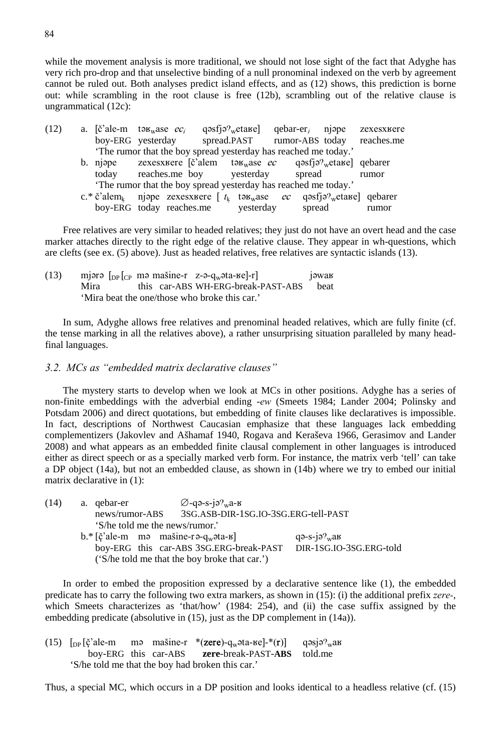while the movement analysis is more traditional, we should not lose sight of the fact that Adyghe has very rich pro-drop and that unselective binding of a null pronominal indexed on the verb by agreement cannot be ruled out. Both analyses predict island effects, and as (12) shows, this prediction is borne out: while scrambling in the root clause is free (12b), scrambling out of the relative clause is ungrammatical (12c):

| (12) |                                                                 |       | a. $\ddot{\text{e}}$ 'ale-m tə $\mu_{\text{w}}$ ase $ec_i$                                                   |  |           | $q$ əsfjə? <sub>w</sub> etake] qebar-er, njəpe |  | zexesxuere |  |  |
|------|-----------------------------------------------------------------|-------|--------------------------------------------------------------------------------------------------------------|--|-----------|------------------------------------------------|--|------------|--|--|
|      |                                                                 |       | boy-ERG yesterday spread.PAST rumor-ABS today reaches.me                                                     |  |           |                                                |  |            |  |  |
|      |                                                                 |       | 'The rumor that the boy spread yesterday has reached me today.'                                              |  |           |                                                |  |            |  |  |
|      |                                                                 |       | b. njope zexesxuere c'alem tou <sub>w</sub> ase <i>ec</i> qosfjo <sup>9</sup> etane qebarer                  |  |           |                                                |  |            |  |  |
|      |                                                                 | today | reaches.me boy yesterday                                                                                     |  |           | spread                                         |  | rumor      |  |  |
|      | 'The rumor that the boy spread yesterday has reached me today.' |       |                                                                                                              |  |           |                                                |  |            |  |  |
|      |                                                                 |       | c.* č'alem <sub>k</sub> njepe zexesxuere [ $t_k$ tex <sub>w</sub> ase <i>ec</i> qesfje $v_w$ etaure] qebarer |  |           |                                                |  |            |  |  |
|      |                                                                 |       | boy-ERG today reaches.me                                                                                     |  | yesterday | spread                                         |  | rumor      |  |  |

Free relatives are very similar to headed relatives; they just do not have an overt head and the case marker attaches directly to the right edge of the relative clause. They appear in wh-questions, which are clefts (see ex. (5) above). Just as headed relatives, free relatives are syntactic islands (13).

(13) mjərə  $\lceil_{DP} \rceil_{CP}$  mə mašine-r z-ə-q<sub>w</sub>əta- $\lceil_{CP} \rceil$  jəwak Mira this car-ABS WH-ERG-break-PAST-ABS beat 'Mira beat the one/those who broke this car.'

In sum, Adyghe allows free relatives and prenominal headed relatives, which are fully finite (cf. the tense marking in all the relatives above), a rather unsurprising situation paralleled by many headfinal languages.

#### *3.2. MCs as "embedded matrix declarative clauses"*

The mystery starts to develop when we look at MCs in other positions. Adyghe has a series of non-finite embeddings with the adverbial ending -*ew* (Smeets 1984; Lander 2004; Polinsky and Potsdam 2006) and direct quotations, but embedding of finite clauses like declaratives is impossible. In fact, descriptions of Northwest Caucasian emphasize that these languages lack embedding complementizers (Jakovlev and Ašhamaf 1940, Rogava and Keraševa 1966, Gerasimov and Lander 2008) and what appears as an embedded finite clausal complement in other languages is introduced either as direct speech or as a specially marked verb form. For instance, the matrix verb 'tell' can take a DP object (14a), but not an embedded clause, as shown in (14b) where we try to embed our initial matrix declarative in (1):

| (14) |                                | a. qebar-er                                                | $\varnothing$ -qә-s-jә $\gamma_w$ а-к<br>3SG.ASB-DIR-1SG.IO-3SG.ERG-tell-PAST            |                                              |  |  |  |  |
|------|--------------------------------|------------------------------------------------------------|------------------------------------------------------------------------------------------|----------------------------------------------|--|--|--|--|
|      |                                | news/rumor-ABS                                             |                                                                                          |                                              |  |  |  |  |
|      | 'S/he told me the news/rumor.' |                                                            |                                                                                          |                                              |  |  |  |  |
|      |                                | $b.*$ [c'ale-m mə masine-rə-q <sub>w</sub> əta- $\bf{g}$ ] |                                                                                          | $q\rightarrow s-i\partial w$ <sub>w</sub> ak |  |  |  |  |
|      |                                |                                                            | boy-ERG this car-ABS 3SG.ERG-break-PAST<br>('S/he told me that the boy broke that car.') | DIR-1SG.IO-3SG.ERG-told                      |  |  |  |  |

In order to embed the proposition expressed by a declarative sentence like (1), the embedded predicate has to carry the following two extra markers, as shown in (15): (i) the additional prefix *zere-*, which Smeets characterizes as 'that/how' (1984: 254), and (ii) the case suffix assigned by the embedding predicate (absolutive in (15), just as the DP complement in (14a)).

|  |  | (15) $\lceil_{DP} [\check{c}]^{2}$ ale-m mə mašine-r *(zere)-q <sub>w</sub> əta- $\kappa e$ ]-*(r) qəsjə? <sub>w</sub> ax |  |
|--|--|---------------------------------------------------------------------------------------------------------------------------|--|
|  |  | boy-ERG this car-ABS zere-break-PAST-ABS told.me                                                                          |  |
|  |  | 'S/he told me that the boy had broken this car.'                                                                          |  |

Thus, a special MC, which occurs in a DP position and looks identical to a headless relative (cf. (15)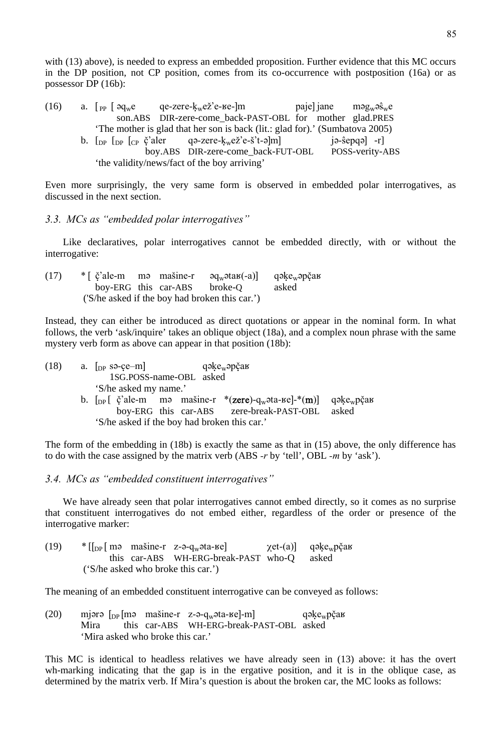with (13) above), is needed to express an embedded proposition. Further evidence that this MC occurs in the DP position, not CP position, comes from its co-occurrence with postposition (16a) or as possessor DP (16b):

| (16) | a. $\lceil$ pp $\rceil$ $\partial q_w e$ | qe-zere-k <sub>w</sub> ež'e-ве-]m                                                                                      | paje iane mag <sub>w</sub> a $\hat{\mathbf{s}}_{\rm w}$ e |
|------|------------------------------------------|------------------------------------------------------------------------------------------------------------------------|-----------------------------------------------------------|
|      |                                          | son.ABS DIR-zere-come_back-PAST-OBL for mother glad.PRES                                                               |                                                           |
|      |                                          | 'The mother is glad that her son is back (lit.: glad for).' (Sumbatova 2005)                                           |                                                           |
|      |                                          | b. $\lbrack_{DP} \rbrack_{CP}$ $\zeta$ <sup>2</sup> aler q a -zere- $k_w e \zeta$ <sup>2</sup> e -š <sup>2</sup> t-alm | $ \hat{\theta}-\hat{\theta} \cos(\theta) - \hat{\theta} $ |
|      |                                          | boy.ABS DIR-zere-come_back-FUT-OBL                                                                                     | POSS-verity-ABS                                           |
|      |                                          | 'the validity/news/fact of the boy arriving'                                                                           |                                                           |

Even more surprisingly, the very same form is observed in embedded polar interrogatives, as discussed in the next section.

#### *3.3. MCs as "embedded polar interrogatives"*

Like declaratives, polar interrogatives cannot be embedded directly, with or without the interrogative:

| (17) |  |                              | * [ $\check{\mathrm{c}}$ 'ale-m mə mašine-r əq <sub>w</sub> əta $\mathrm{K}$ (-a)] qəke <sub>w</sub> əpčar |       |
|------|--|------------------------------|------------------------------------------------------------------------------------------------------------|-------|
|      |  | boy-ERG this car-ABS broke-O |                                                                                                            | asked |
|      |  |                              | ('S/he asked if the boy had broken this car.')                                                             |       |

Instead, they can either be introduced as direct quotations or appear in the nominal form. In what follows, the verb 'ask/inquire' takes an oblique object (18a), and a complex noun phrase with the same mystery verb form as above can appear in that position (18b):

| (18) | a. $\lceil_{DP}$ sə-ce-m $\rceil$ qəke <sub>w</sub> əpčan                                                     |  |
|------|---------------------------------------------------------------------------------------------------------------|--|
|      | 1SG.POSS-name-OBL asked                                                                                       |  |
|      | 'S/he asked my name.'                                                                                         |  |
|      | b. $\lceil_{\text{DP}} \rceil$ č'ale-m mə mašine-r *(zere)-q <sub>w</sub> əta-ke]-*(m) qəke <sub>w</sub> pčak |  |
|      | boy-ERG this car-ABS zere-break-PAST-OBL asked                                                                |  |
|      | 'S/he asked if the boy had broken this car.'                                                                  |  |

The form of the embedding in (18b) is exactly the same as that in (15) above, the only difference has to do with the case assigned by the matrix verb (ABS *-r* by 'tell', OBL *-m* by 'ask').

#### *3.4. MCs as "embedded constituent interrogatives"*

We have already seen that polar interrogatives cannot embed directly, so it comes as no surprise that constituent interrogatives do not embed either, regardless of the order or presence of the interrogative marker:

| (19) |  | $\frac{1}{2}$ [[ <sub>DP</sub> ] may massine-r z-a-q <sub>w</sub> ata-ke] | χet-(a) qəke <sub>w</sub> pčaв |
|------|--|---------------------------------------------------------------------------|--------------------------------|
|      |  | this car-ABS WH-ERG-break-PAST who-O asked                                |                                |
|      |  | ('S/he asked who broke this car.')                                        |                                |

The meaning of an embedded constituent interrogative can be conveyed as follows:

(20) mjərə  $\lceil p \rceil$ mə mašine-r z-ə-qwəta-ke $\lceil -m \rceil$  qəkewpčak Mira this car-ABS WH-ERG-break-PAST-OBL asked 'Mira asked who broke this car.'

This MC is identical to headless relatives we have already seen in (13) above: it has the overt wh-marking indicating that the gap is in the ergative position, and it is in the oblique case, as determined by the matrix verb. If Mira's question is about the broken car, the MC looks as follows: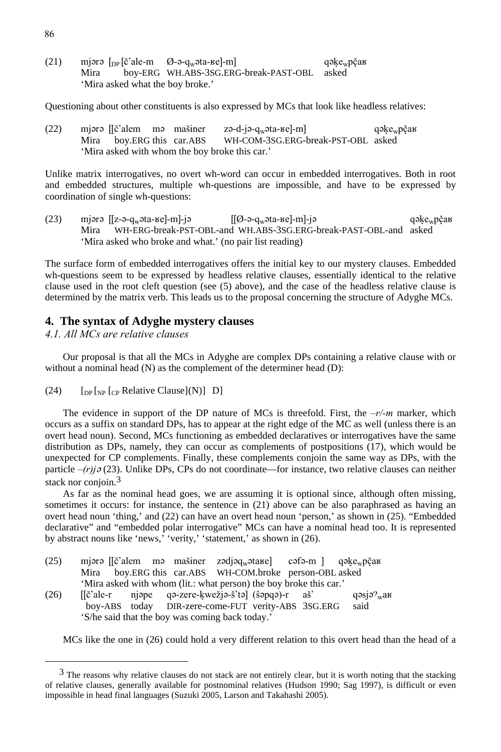(21) mjərə  $\lceil_{DP}[\check{c}']\circ \text{ale-m}$   $\emptyset$ -ə-q<sub>w</sub>əta-ke]-m] qəke<sub>w</sub>p $\check{c}$ ak Mira boy-ERG WH.ABS-3SG.ERG-break-PAST-OBL asked 'Mira asked what the boy broke.'

Questioning about other constituents is also expressed by MCs that look like headless relatives:

(22) mjərə  $[(\check{c}']$ alem mə masiner zə-d-jə-q $\check{c}$ əta-ke $]-m$  qəke $\check{c}$ bar Mira boy.ERG this car.ABS WH-COM-3SG.ERG-break-PST-OBL asked 'Mira asked with whom the boy broke this car.'

Unlike matrix interrogatives, no overt wh-word can occur in embedded interrogatives. Both in root and embedded structures, multiple wh-questions are impossible, and have to be expressed by coordination of single wh-questions:

(23) mjərə  $[[z-a-q_w^2 + mc - \frac{1}{2}]$   $[[\emptyset-a-q_w^2 + mc - \frac{1}{2}]$  qəke<sub>w</sub>pčak Mira WH-ERG-break-PST-OBL-and WH.ABS-3SG.ERG-break-PAST-OBL-and asked 'Mira asked who broke and what.' (no pair list reading)

The surface form of embedded interrogatives offers the initial key to our mystery clauses. Embedded wh-questions seem to be expressed by headless relative clauses, essentially identical to the relative clause used in the root cleft question (see (5) above), and the case of the headless relative clause is determined by the matrix verb. This leads us to the proposal concerning the structure of Adyghe MCs.

#### **4. The syntax of Adyghe mystery clauses**

*4.1. All MCs are relative clauses* 

Our proposal is that all the MCs in Adyghe are complex DPs containing a relative clause with or without a nominal head (N) as the complement of the determiner head (D):

(24)  $\left[$   $\left[$   $\right]$   $\left[$   $\left[$   $\right]$   $\right]$   $\left[$   $\left[$   $\right]$   $\left[$   $\right]$   $\left[$   $\left[$   $\left[$   $\right]$   $\left[$   $\left[$   $\right]$   $\left[$   $\left[$   $\left[$   $\right]$   $\left[$   $\left[$   $\left[$   $\left[$   $\right]$   $\left[$   $\left[$   $\left[$   $\left[$   $\left[$   $\left[$   $\left[$   $\left[$ 

The evidence in support of the DP nature of MCs is threefold. First, the  $-r/m$  marker, which occurs as a suffix on standard DPs, has to appear at the right edge of the MC as well (unless there is an overt head noun). Second, MCs functioning as embedded declaratives or interrogatives have the same distribution as DPs, namely, they can occur as complements of postpositions (17), which would be unexpected for CP complements. Finally, these complements conjoin the same way as DPs, with the particle  $-(r)j\partial(23)$ . Unlike DPs, CPs do not coordinate—for instance, two relative clauses can neither stack nor conjoin.<sup>3</sup>

As far as the nominal head goes, we are assuming it is optional since, although often missing, sometimes it occurs: for instance, the sentence in  $(21)$  above can be also paraphrased as having an overt head noun 'thing,' and (22) can have an overt head noun 'person,' as shown in (25). "Embedded declarative" and "embedded polar interrogative" MCs can have a nominal head too. It is represented by abstract nouns like 'news,' 'verity,' 'statement,' as shown in (26).

- (25) mjərə  $[\check{c}]$  alem mə masiner zədjəq $\check{c}$ ətare] cəfə-m  $]$  qəke $\check{c}$ veyə $\check{c}$ ar Mira boy.ERG this car.ABS WH-COM.broke person-OBL asked 'Mira asked with whom (lit.: what person) the boy broke this car.'
- (26)  $\left[\text{[č'ale-r} \quad \text{njape} \quad \text{qə-zere-kwežiə-š'tə} \right]$  (s $\text{apqə}-\text{r} \quad \text{aš'} \quad \text{qəsjə'}$ wak boy-ABS today DIR-zere-come-FUT verity-ABS 3SG.ERG said 'S/he said that the boy was coming back today.'

MCs like the one in (26) could hold a very different relation to this overt head than the head of a

 $3$  The reasons why relative clauses do not stack are not entirely clear, but it is worth noting that the stacking of relative clauses, generally available for postnominal relatives (Hudson 1990; Sag 1997), is difficult or even impossible in head final languages (Suzuki 2005, Larson and Takahashi 2005).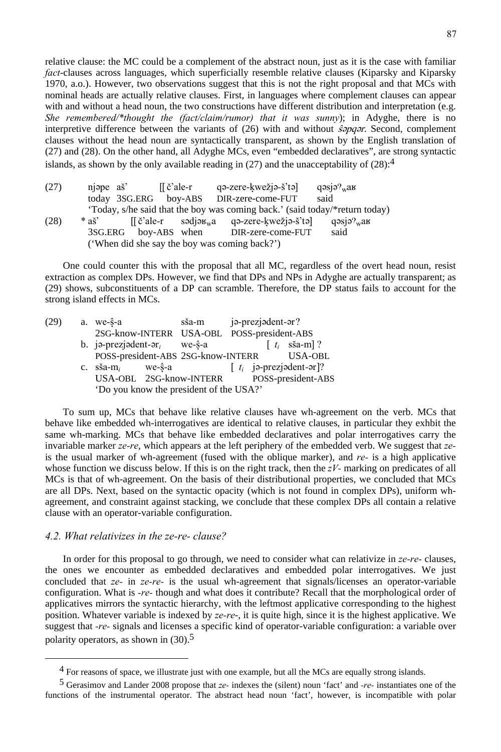relative clause: the MC could be a complement of the abstract noun, just as it is the case with familiar *fact*-clauses across languages, which superficially resemble relative clauses (Kiparsky and Kiparsky 1970, a.o.). However, two observations suggest that this is not the right proposal and that MCs with nominal heads are actually relative clauses. First, in languages where complement clauses can appear with and without a head noun, the two constructions have different distribution and interpretation (e.g. *She remembered/\*thought the (fact/claim/rumor) that it was sunny*); in Adyghe, there is no interpretive difference between the variants of  $(26)$  with and without  $\hat{s}$ *pq* $\hat{s}$ *r*. Second, complement clauses without the head noun are syntactically transparent, as shown by the English translation of (27) and (28). On the other hand, all Adyghe MCs, even "embedded declaratives", are strong syntactic islands, as shown by the only available reading in  $(27)$  and the unacceptability of  $(28)$ :<sup>4</sup>

| (27)                                          | njape aš' | [[č'ale-r            | qə-zere-kwežjə-š'tə]                                                                                                                  | $q$ əsjə $\gamma_w$ ak |  |  |  |
|-----------------------------------------------|-----------|----------------------|---------------------------------------------------------------------------------------------------------------------------------------|------------------------|--|--|--|
|                                               |           |                      | today 3SG.ERG boy-ABS DIR-zere-come-FUT                                                                                               | said                   |  |  |  |
|                                               |           |                      | 'Today, s/he said that the boy was coming back.' (said today/*return today)                                                           |                        |  |  |  |
| (28)                                          | $*$ as'   |                      | $\left[\begin{array}{ccc} \xi' \text{ale-r} & \text{sodjøk}_{w} \text{a} & \text{q} \text{a-zere-kwežj} \text{a} \end{array} \right]$ | qəsjə? $w$ ав          |  |  |  |
|                                               |           | 3SG.ERG boy-ABS when | DIR-zere-come-FUT                                                                                                                     | said                   |  |  |  |
| ('When did she say the boy was coming back?') |           |                      |                                                                                                                                       |                        |  |  |  |

One could counter this with the proposal that all MC, regardless of the overt head noun, resist extraction as complex DPs. However, we find that DPs and NPs in Adyghe are actually transparent; as (29) shows, subconstituents of a DP can scramble. Therefore, the DP status fails to account for the strong island effects in MCs.

| (29) | a. we- $\hat{s}$ -a                               |                | sša-m                                      |  | jə-prezjədent-ər? |                                                                                                  |
|------|---------------------------------------------------|----------------|--------------------------------------------|--|-------------------|--------------------------------------------------------------------------------------------------|
|      |                                                   |                | 2SG-know-INTERR USA-OBL POSS-president-ABS |  |                   |                                                                                                  |
|      | b. ja-prezjadent-ar <sub>i</sub> we- $\hat{s}$ -a |                |                                            |  |                   | $\begin{bmatrix} t_i & \text{ssa-m} \end{bmatrix}$ ?                                             |
|      |                                                   |                | POSS-president-ABS 2SG-know-INTERR         |  |                   | USA-OBL                                                                                          |
|      | c. $s\$ a-m_i                                     | $we-\hat{s}-a$ |                                            |  |                   | $\begin{bmatrix} t_i \\ 0 \end{bmatrix}$ is-prezisdent-or $\begin{bmatrix} ? \\ ? \end{bmatrix}$ |
|      | USA-OBL 2SG-know-INTERR                           |                |                                            |  |                   | POSS-president-ABS                                                                               |
|      | 'Do you know the president of the USA?'           |                |                                            |  |                   |                                                                                                  |

To sum up, MCs that behave like relative clauses have wh-agreement on the verb. MCs that behave like embedded wh-interrogatives are identical to relative clauses, in particular they exhbit the same wh-marking. MCs that behave like embedded declaratives and polar interrogatives carry the invariable marker *ze-re*, which appears at the left periphery of the embedded verb. We suggest that *ze*is the usual marker of wh-agreement (fused with the oblique marker), and *re-* is a high applicative whose function we discuss below. If this is on the right track, then the *zV-* marking on predicates of all MCs is that of wh-agreement. On the basis of their distributional properties, we concluded that MCs are all DPs. Next, based on the syntactic opacity (which is not found in complex DPs), uniform whagreement, and constraint against stacking, we conclude that these complex DPs all contain a relative clause with an operator-variable configuration.

#### *4.2. What relativizes in the ze-re- clause?*

In order for this proposal to go through, we need to consider what can relativize in *ze-re-* clauses, the ones we encounter as embedded declaratives and embedded polar interrogatives. We just concluded that *ze-* in *ze-re-* is the usual wh-agreement that signals/licenses an operator-variable configuration. What is *-re-* though and what does it contribute? Recall that the morphological order of applicatives mirrors the syntactic hierarchy, with the leftmost applicative corresponding to the highest position. Whatever variable is indexed by *ze-re*-, it is quite high, since it is the highest applicative. We suggest that *-re-* signals and licenses a specific kind of operator-variable configuration: a variable over polarity operators, as shown in (30).5

 <sup>4</sup> For reasons of space, we illustrate just with one example, but all the MCs are equally strong islands.

<sup>5</sup> Gerasimov and Lander 2008 propose that *ze-* indexes the (silent) noun 'fact' and *-re-* instantiates one of the functions of the instrumental operator. The abstract head noun 'fact', however, is incompatible with polar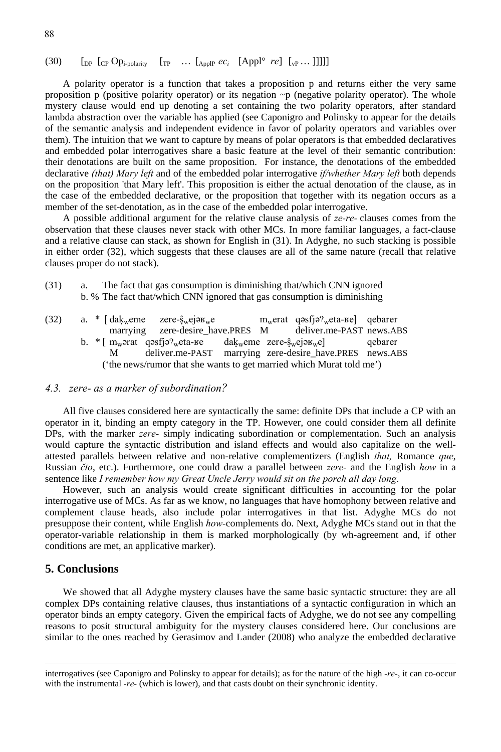#### (30)  $\left[\begin{matrix}D_{\text{p}} & \begin{bmatrix}C_{\text{p}} & \begin{bmatrix}O_{\text{p}}\end{bmatrix}_{\text{p}}\end{matrix}\right] & \begin{bmatrix}T_{\text{p}} & \begin{bmatrix}C_{\text{p}}\end{bmatrix} & \begin{bmatrix}A_{\text{p}}\end{bmatrix}_{\text{p}} & \begin{bmatrix}C_{\text{p}}\end{bmatrix} & \begin{bmatrix}C_{\text{p}}\end{bmatrix} & \begin{bmatrix}C_{\text{p}}\end{bmatrix} & \begin{bmatrix}C_{\text{p}}\end{bmatrix} & \begin{bmatrix}C_{\text{p}}\end$

A polarity operator is a function that takes a proposition p and returns either the very same proposition p (positive polarity operator) or its negation  $\neg p$  (negative polarity operator). The whole mystery clause would end up denoting a set containing the two polarity operators, after standard lambda abstraction over the variable has applied (see Caponigro and Polinsky to appear for the details of the semantic analysis and independent evidence in favor of polarity operators and variables over them). The intuition that we want to capture by means of polar operators is that embedded declaratives and embedded polar interrogatives share a basic feature at the level of their semantic contribution: their denotations are built on the same proposition. For instance, the denotations of the embedded declarative *(that) Mary left* and of the embedded polar interrogative *if/whether Mary left* both depends on the proposition 'that Mary left'. This proposition is either the actual denotation of the clause, as in the case of the embedded declarative, or the proposition that together with its negation occurs as a member of the set-denotation, as in the case of the embedded polar interrogative.

A possible additional argument for the relative clause analysis of *ze-re-* clauses comes from the observation that these clauses never stack with other MCs. In more familiar languages, a fact-clause and a relative clause can stack, as shown for English in (31). In Adyghe, no such stacking is possible in either order (32), which suggests that these clauses are all of the same nature (recall that relative clauses proper do not stack).

(31) a. The fact that gas consumption is diminishing that/which CNN ignored b. % The fact that/which CNN ignored that gas consumption is diminishing

| (32) |  | a. $\sim$ [dak <sub>w</sub> eme zere- $\hat{s}_{w}$ ej $\sigma$ <sub>w</sub> e                                                                                                                                                                                     |  | $mw$ erat qəsfjə? <sub>w</sub> eta- $\kappa$ e qebarer |         |
|------|--|--------------------------------------------------------------------------------------------------------------------------------------------------------------------------------------------------------------------------------------------------------------------|--|--------------------------------------------------------|---------|
|      |  | marrying zere-desire_have.PRES M deliver.me-PAST news.ABS                                                                                                                                                                                                          |  |                                                        |         |
|      |  | b. $*$ [ m <sub>w</sub> ə rat q ə s f j ə ? <sub>w</sub> e t a - k e c a dak <sub>w</sub> e me z e re - s <sub>w</sub> e j ə k v e j ə k v e j ə k v e j ə k v e j ə k v e j ə k v e j ə k v e j ə k v e j ə k v e j ə k v e j ə k v e j ə k v e j ə k v e j ə k v |  |                                                        | qebarer |
|      |  | deliver.me-PAST marrying zere-desire_have.PRES news.ABS                                                                                                                                                                                                            |  |                                                        |         |
|      |  | ('the news/rumor that she wants to get married which Murat told me')                                                                                                                                                                                               |  |                                                        |         |

#### *4.3. zere- as a marker of subordination?*

All five clauses considered here are syntactically the same: definite DPs that include a CP with an operator in it, binding an empty category in the TP. However, one could consider them all definite DPs, with the marker *zere-* simply indicating subordination or complementation. Such an analysis would capture the syntactic distribution and island effects and would also capitalize on the wellattested parallels between relative and non-relative complementizers (English *that,* Romance *que*, Russian *čto*, etc.). Furthermore, one could draw a parallel between *zere-* and the English *how* in a sentence like *I remember how my Great Uncle Jerry would sit on the porch all day long*.

However, such an analysis would create significant difficulties in accounting for the polar interrogative use of MCs. As far as we know, no languages that have homophony between relative and complement clause heads, also include polar interrogatives in that list. Adyghe MCs do not presuppose their content, while English *how-*complements do. Next, Adyghe MCs stand out in that the operator-variable relationship in them is marked morphologically (by wh-agreement and, if other conditions are met, an applicative marker).

#### **5. Conclusions**

<u>.</u>

We showed that all Adyghe mystery clauses have the same basic syntactic structure: they are all complex DPs containing relative clauses, thus instantiations of a syntactic configuration in which an operator binds an empty category. Given the empirical facts of Adyghe, we do not see any compelling reasons to posit structural ambiguity for the mystery clauses considered here. Our conclusions are similar to the ones reached by Gerasimov and Lander (2008) who analyze the embedded declarative

interrogatives (see Caponigro and Polinsky to appear for details); as for the nature of the high *-re-*, it can co-occur with the instrumental *-re-* (which is lower), and that casts doubt on their synchronic identity.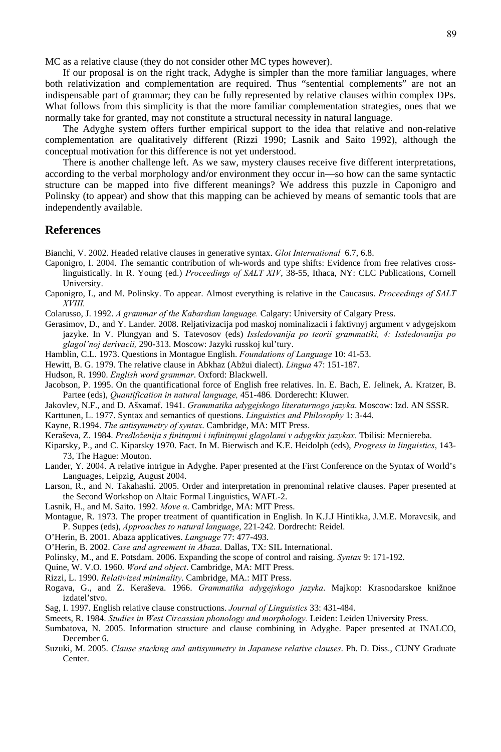MC as a relative clause (they do not consider other MC types however).

If our proposal is on the right track, Adyghe is simpler than the more familiar languages, where both relativization and complementation are required. Thus "sentential complements" are not an indispensable part of grammar; they can be fully represented by relative clauses within complex DPs. What follows from this simplicity is that the more familiar complementation strategies, ones that we normally take for granted, may not constitute a structural necessity in natural language.

The Adyghe system offers further empirical support to the idea that relative and non-relative complementation are qualitatively different (Rizzi 1990; Lasnik and Saito 1992), although the conceptual motivation for this difference is not yet understood.

There is another challenge left. As we saw, mystery clauses receive five different interpretations, according to the verbal morphology and/or environment they occur in—so how can the same syntactic structure can be mapped into five different meanings? We address this puzzle in Caponigro and Polinsky (to appear) and show that this mapping can be achieved by means of semantic tools that are independently available.

#### **References**

Bianchi, V. 2002. Headed relative clauses in generative syntax. *Glot International* 6.7, 6.8.

- Caponigro, I. 2004. The semantic contribution of wh-words and type shifts: Evidence from free relatives crosslinguistically. In R. Young (ed.) *Proceedings of SALT XIV*, 38-55, Ithaca, NY: CLC Publications, Cornell University.
- Caponigro, I., and M. Polinsky. To appear. Almost everything is relative in the Caucasus. *Proceedings of SALT XVIII.*

Colarusso, J. 1992. *A grammar of the Kabardian language.* Calgary: University of Calgary Press.

- Gerasimov, D., and Y. Lander. 2008. Reljativizacija pod maskoj nominalizacii i faktivnyj argument v adygejskom jazyke. In V. Plungyan and S. Tatevosov (eds) *Issledovanija po teorii grammatiki, 4: Issledovanija po glagol'noj derivacii,* 290-313. Moscow: Jazyki russkoj kul'tury.
- Hamblin, C.L. 1973. Questions in Montague English. *Foundations of Language* 10: 41-53.
- Hewitt, B. G. 1979. The relative clause in Abkhaz (Abžui dialect). *Lingua* 47: 151-187.
- Hudson, R. 1990. *English word grammar*. Oxford: Blackwell.
- Jacobson, P. 1995. On the quantificational force of English free relatives. In. E. Bach, E. Jelinek, A. Kratzer, B. Partee (eds), *Quantification in natural language,* 451-486*.* Dorderecht: Kluwer.
- Jakovlev, N.F., and D. Ašxamaf. 1941. *Grammatika adygejskogo literaturnogo jazyka*. Moscow: Izd. AN SSSR.
- Karttunen, L. 1977. Syntax and semantics of questions. *Linguistics and Philosophy* 1: 3-44.
- Kayne, R.1994. *The antisymmetry of syntax*. Cambridge, MA: MIT Press.

Keraševa, Z. 1984. *Predloženija s finitnymi i infinitnymi glagolami v adygskix jazykax.* Tbilisi: Mecniereba.

- Kiparsky, P., and C. Kiparsky 1970. Fact. In M. Bierwisch and K.E. Heidolph (eds), *Progress in linguistics*, 143- 73, The Hague: Mouton.
- Lander, Y. 2004. A relative intrigue in Adyghe. Paper presented at the First Conference on the Syntax of World's Languages, Leipzig, August 2004.
- Larson, R., and N. Takahashi. 2005. Order and interpretation in prenominal relative clauses. Paper presented at the Second Workshop on Altaic Formal Linguistics, WAFL-2.
- Lasnik, H., and M. Saito. 1992. *Move α*. Cambridge, MA: MIT Press.
- Montague, R. 1973. The proper treatment of quantification in English. In K.J.J Hintikka, J.M.E. Moravcsik, and P. Suppes (eds), *Approaches to natural language*, 221-242. Dordrecht: Reidel.
- O'Herin, B. 2001. Abaza applicatives. *Language* 77: 477-493.
- O'Herin, B. 2002. *Case and agreement in Abaza*. Dallas, TX: SIL International.
- Polinsky, M., and E. Potsdam. 2006. Expanding the scope of control and raising. *Syntax* 9: 171-192.

Quine, W. V.O. 1960. *Word and object*. Cambridge, MA: MIT Press.

- Rizzi, L. 1990. *Relativized minimality*. Cambridge, MA.: MIT Press.
- Rogava, G., and Z. Keraševa. 1966. *Grammatika adygejskogo jazyka*. Majkop: Krasnodarskoe knižnoe izdatel'stvo.
- Sag, I. 1997. English relative clause constructions. *Journal of Linguistics* 33: 431-484.
- Smeets, R. 1984. *Studies in West Circassian phonology and morphology.* Leiden: Leiden University Press.
- Sumbatova, N. 2005. Information structure and clause combining in Adyghe. Paper presented at INALCO, December 6.
- Suzuki, M. 2005. *Clause stacking and antisymmetry in Japanese relative clauses*. Ph. D. Diss., CUNY Graduate Center.